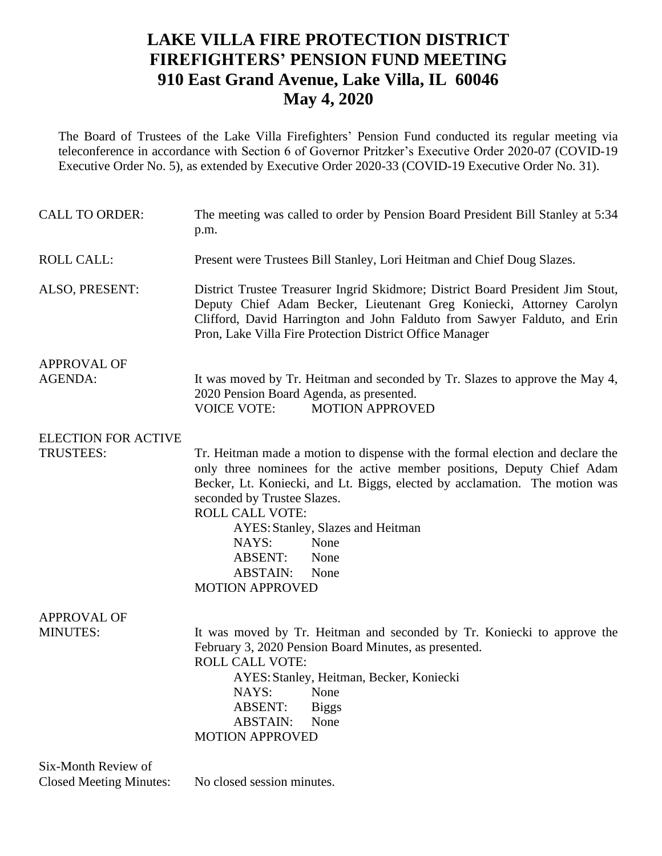## **LAKE VILLA FIRE PROTECTION DISTRICT FIREFIGHTERS' PENSION FUND MEETING 910 East Grand Avenue, Lake Villa, IL 60046 May 4, 2020**

The Board of Trustees of the Lake Villa Firefighters' Pension Fund conducted its regular meeting via teleconference in accordance with Section 6 of Governor Pritzker's Executive Order 2020-07 (COVID-19 Executive Order No. 5), as extended by Executive Order 2020-33 (COVID-19 Executive Order No. 31).

| <b>CALL TO ORDER:</b>      | The meeting was called to order by Pension Board President Bill Stanley at 5:34<br>p.m.                                                                                                                                                                                                                                                                                                                                               |  |  |
|----------------------------|---------------------------------------------------------------------------------------------------------------------------------------------------------------------------------------------------------------------------------------------------------------------------------------------------------------------------------------------------------------------------------------------------------------------------------------|--|--|
| <b>ROLL CALL:</b>          | Present were Trustees Bill Stanley, Lori Heitman and Chief Doug Slazes.                                                                                                                                                                                                                                                                                                                                                               |  |  |
| ALSO, PRESENT:             | District Trustee Treasurer Ingrid Skidmore; District Board President Jim Stout,<br>Deputy Chief Adam Becker, Lieutenant Greg Koniecki, Attorney Carolyn<br>Clifford, David Harrington and John Falduto from Sawyer Falduto, and Erin<br>Pron, Lake Villa Fire Protection District Office Manager                                                                                                                                      |  |  |
| <b>APPROVAL OF</b>         |                                                                                                                                                                                                                                                                                                                                                                                                                                       |  |  |
| <b>AGENDA:</b>             | It was moved by Tr. Heitman and seconded by Tr. Slazes to approve the May 4,<br>2020 Pension Board Agenda, as presented.<br><b>VOICE VOTE:</b><br><b>MOTION APPROVED</b>                                                                                                                                                                                                                                                              |  |  |
| <b>ELECTION FOR ACTIVE</b> |                                                                                                                                                                                                                                                                                                                                                                                                                                       |  |  |
| TRUSTEES:                  | Tr. Heitman made a motion to dispense with the formal election and declare the<br>only three nominees for the active member positions, Deputy Chief Adam<br>Becker, Lt. Koniecki, and Lt. Biggs, elected by acclamation. The motion was<br>seconded by Trustee Slazes.<br><b>ROLL CALL VOTE:</b><br>AYES: Stanley, Slazes and Heitman<br>NAYS:<br>None<br><b>ABSENT:</b><br>None<br><b>ABSTAIN:</b><br>None<br><b>MOTION APPROVED</b> |  |  |
| <b>APPROVAL OF</b>         |                                                                                                                                                                                                                                                                                                                                                                                                                                       |  |  |
| <b>MINUTES:</b>            | It was moved by Tr. Heitman and seconded by Tr. Koniecki to approve the<br>February 3, 2020 Pension Board Minutes, as presented.<br><b>ROLL CALL VOTE:</b><br>AYES: Stanley, Heitman, Becker, Koniecki<br>NAYS: None<br><b>ABSENT:</b><br><b>Biggs</b><br><b>ABSTAIN:</b><br>None<br><b>MOTION APPROVED</b>                                                                                                                           |  |  |
| Six-Month Review of        |                                                                                                                                                                                                                                                                                                                                                                                                                                       |  |  |

Closed Meeting Minutes: No closed session minutes.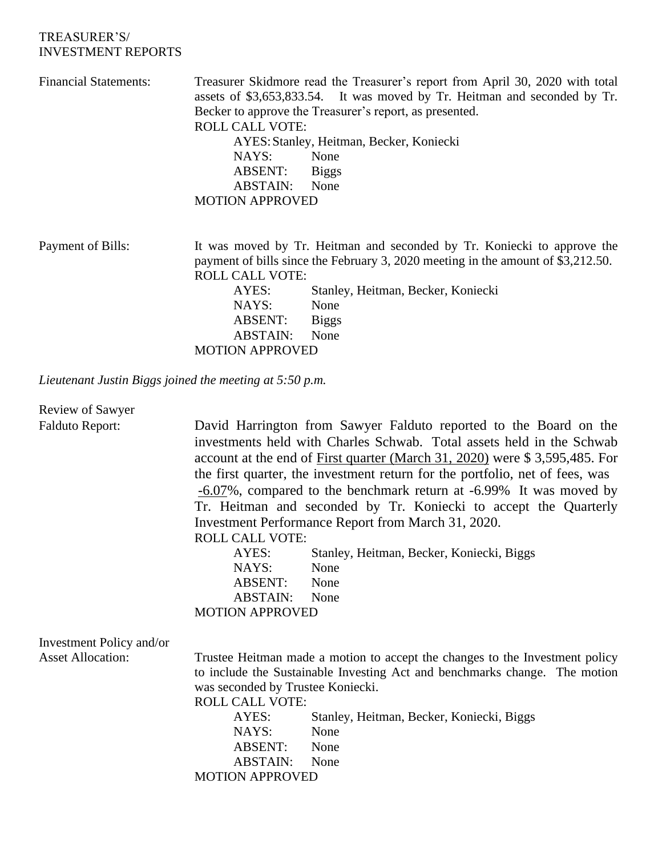## TREASURER'S/ INVESTMENT REPORTS

| <b>Financial Statements:</b>                            | <b>ROLL CALL VOTE:</b><br>NAYS:                                                                                                                                                       | Treasurer Skidmore read the Treasurer's report from April 30, 2020 with total<br>assets of \$3,653,833.54. It was moved by Tr. Heitman and seconded by Tr.<br>Becker to approve the Treasurer's report, as presented.<br>AYES: Stanley, Heitman, Becker, Koniecki<br>None |  |
|---------------------------------------------------------|---------------------------------------------------------------------------------------------------------------------------------------------------------------------------------------|---------------------------------------------------------------------------------------------------------------------------------------------------------------------------------------------------------------------------------------------------------------------------|--|
|                                                         | ABSENT:                                                                                                                                                                               | <b>Biggs</b>                                                                                                                                                                                                                                                              |  |
|                                                         | ABSTAIN:                                                                                                                                                                              | None                                                                                                                                                                                                                                                                      |  |
|                                                         | <b>MOTION APPROVED</b>                                                                                                                                                                |                                                                                                                                                                                                                                                                           |  |
| Payment of Bills:                                       | It was moved by Tr. Heitman and seconded by Tr. Koniecki to approve the<br>payment of bills since the February 3, 2020 meeting in the amount of \$3,212.50.<br><b>ROLL CALL VOTE:</b> |                                                                                                                                                                                                                                                                           |  |
|                                                         | AYES:                                                                                                                                                                                 | Stanley, Heitman, Becker, Koniecki                                                                                                                                                                                                                                        |  |
|                                                         | NAYS:                                                                                                                                                                                 | None                                                                                                                                                                                                                                                                      |  |
|                                                         | ABSENT:                                                                                                                                                                               | <b>Biggs</b>                                                                                                                                                                                                                                                              |  |
|                                                         | <b>ABSTAIN:</b>                                                                                                                                                                       | None                                                                                                                                                                                                                                                                      |  |
|                                                         | <b>MOTION APPROVED</b>                                                                                                                                                                |                                                                                                                                                                                                                                                                           |  |
| Lieutenant Justin Biggs joined the meeting at 5:50 p.m. |                                                                                                                                                                                       |                                                                                                                                                                                                                                                                           |  |

| Review of Sawyer         |                                                                                                  |                                                                                                                                                                                                                                                                                                                                                                                                                                                                                                                                                                               |
|--------------------------|--------------------------------------------------------------------------------------------------|-------------------------------------------------------------------------------------------------------------------------------------------------------------------------------------------------------------------------------------------------------------------------------------------------------------------------------------------------------------------------------------------------------------------------------------------------------------------------------------------------------------------------------------------------------------------------------|
| <b>Falduto Report:</b>   | <b>ROLL CALL VOTE:</b><br>AYES:<br>NAYS:<br>ABSENT:<br><b>ABSTAIN:</b><br><b>MOTION APPROVED</b> | David Harrington from Sawyer Falduto reported to the Board on the<br>investments held with Charles Schwab. Total assets held in the Schwab<br>account at the end of First quarter (March 31, 2020) were \$3,595,485. For<br>the first quarter, the investment return for the portfolio, net of fees, was<br>-6.07%, compared to the benchmark return at -6.99% It was moved by<br>Tr. Heitman and seconded by Tr. Koniecki to accept the Quarterly<br>Investment Performance Report from March 31, 2020.<br>Stanley, Heitman, Becker, Koniecki, Biggs<br>None<br>None<br>None |
| Investment Policy and/or |                                                                                                  |                                                                                                                                                                                                                                                                                                                                                                                                                                                                                                                                                                               |
| <b>Asset Allocation:</b> |                                                                                                  |                                                                                                                                                                                                                                                                                                                                                                                                                                                                                                                                                                               |
|                          | was seconded by Trustee Koniecki.<br><b>ROLL CALL VOTE:</b><br>AYES:                             | Trustee Heitman made a motion to accept the changes to the Investment policy<br>to include the Sustainable Investing Act and benchmarks change. The motion<br>Stanley, Heitman, Becker, Koniecki, Biggs                                                                                                                                                                                                                                                                                                                                                                       |
|                          | NAYS:                                                                                            | None                                                                                                                                                                                                                                                                                                                                                                                                                                                                                                                                                                          |
|                          | ABSENT:                                                                                          | None                                                                                                                                                                                                                                                                                                                                                                                                                                                                                                                                                                          |
|                          | <b>ABSTAIN:</b>                                                                                  | None                                                                                                                                                                                                                                                                                                                                                                                                                                                                                                                                                                          |
|                          | <b>MOTION APPROVED</b>                                                                           |                                                                                                                                                                                                                                                                                                                                                                                                                                                                                                                                                                               |
|                          |                                                                                                  |                                                                                                                                                                                                                                                                                                                                                                                                                                                                                                                                                                               |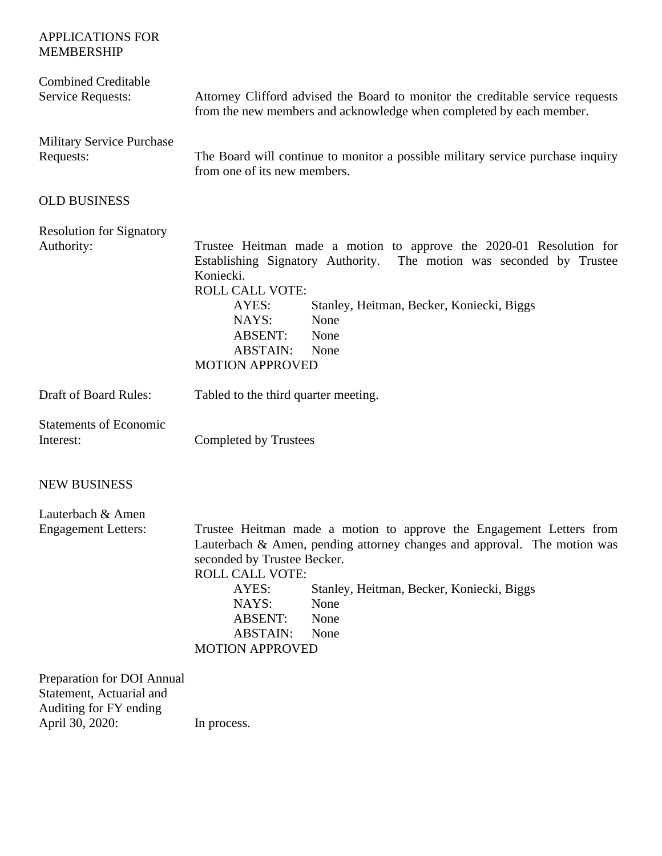| <b>APPLICATIONS FOR</b><br><b>MEMBERSHIP</b>                                                        |                                                                                                                                                                                                                                                                                                                                                                 |  |  |
|-----------------------------------------------------------------------------------------------------|-----------------------------------------------------------------------------------------------------------------------------------------------------------------------------------------------------------------------------------------------------------------------------------------------------------------------------------------------------------------|--|--|
| <b>Combined Creditable</b><br><b>Service Requests:</b>                                              | Attorney Clifford advised the Board to monitor the creditable service requests<br>from the new members and acknowledge when completed by each member.                                                                                                                                                                                                           |  |  |
| <b>Military Service Purchase</b><br>Requests:                                                       | The Board will continue to monitor a possible military service purchase inquiry<br>from one of its new members.                                                                                                                                                                                                                                                 |  |  |
| <b>OLD BUSINESS</b>                                                                                 |                                                                                                                                                                                                                                                                                                                                                                 |  |  |
| <b>Resolution for Signatory</b><br>Authority:                                                       | Trustee Heitman made a motion to approve the 2020-01 Resolution for<br>Establishing Signatory Authority. The motion was seconded by Trustee<br>Koniecki.<br><b>ROLL CALL VOTE:</b><br>AYES:<br>Stanley, Heitman, Becker, Koniecki, Biggs<br>None<br>NAYS:<br><b>ABSENT:</b><br>None<br><b>ABSTAIN:</b><br>None<br><b>MOTION APPROVED</b>                        |  |  |
| <b>Draft of Board Rules:</b>                                                                        | Tabled to the third quarter meeting.                                                                                                                                                                                                                                                                                                                            |  |  |
| <b>Statements of Economic</b><br>Interest:                                                          | Completed by Trustees                                                                                                                                                                                                                                                                                                                                           |  |  |
| <b>NEW BUSINESS</b>                                                                                 |                                                                                                                                                                                                                                                                                                                                                                 |  |  |
| Lauterbach & Amen<br><b>Engagement Letters:</b>                                                     | Trustee Heitman made a motion to approve the Engagement Letters from<br>Lauterbach & Amen, pending attorney changes and approval. The motion was<br>seconded by Trustee Becker.<br><b>ROLL CALL VOTE:</b><br>AYES:<br>Stanley, Heitman, Becker, Koniecki, Biggs<br>NAYS:<br>None<br><b>ABSENT:</b><br>None<br><b>ABSTAIN:</b><br>None<br><b>MOTION APPROVED</b> |  |  |
| Preparation for DOI Annual<br>Statement, Actuarial and<br>Auditing for FY ending<br>April 30, 2020: | In process.                                                                                                                                                                                                                                                                                                                                                     |  |  |